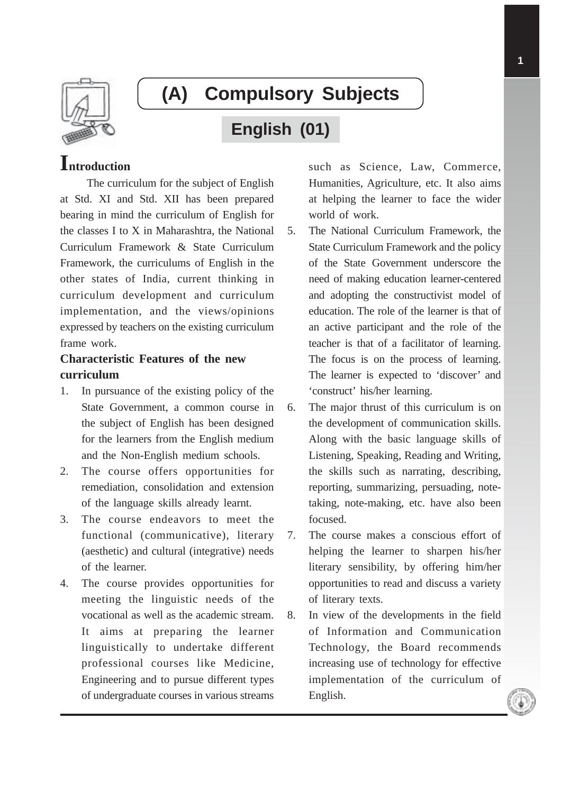

# **(A) Compulsory Subjects**

**English (01)**

# **Introduction**

The curriculum for the subject of English at Std. XI and Std. XII has been prepared bearing in mind the curriculum of English for the classes I to X in Maharashtra, the National Curriculum Framework & State Curriculum Framework, the curriculums of English in the other states of India, current thinking in curriculum development and curriculum implementation, and the views/opinions expressed by teachers on the existing curriculum frame work.

# **Characteristic Features of the new curriculum**

- 1. In pursuance of the existing policy of the State Government, a common course in the subject of English has been designed for the learners from the English medium and the Non-English medium schools.
- 2. The course offers opportunities for remediation, consolidation and extension of the language skills already learnt.
- 3. The course endeavors to meet the functional (communicative), literary (aesthetic) and cultural (integrative) needs of the learner.
- 4. The course provides opportunities for meeting the linguistic needs of the vocational as well as the academic stream. It aims at preparing the learner linguistically to undertake different professional courses like Medicine, Engineering and to pursue different types of undergraduate courses in various streams

such as Science, Law, Commerce, Humanities, Agriculture, etc. It also aims at helping the learner to face the wider world of work.

- 5. The National Curriculum Framework, the State Curriculum Framework and the policy of the State Government underscore the need of making education learner-centered and adopting the constructivist model of education. The role of the learner is that of an active participant and the role of the teacher is that of a facilitator of learning. The focus is on the process of learning. The learner is expected to 'discover' and 'construct' his/her learning.
- 6. The major thrust of this curriculum is on the development of communication skills. Along with the basic language skills of Listening, Speaking, Reading and Writing, the skills such as narrating, describing, reporting, summarizing, persuading, notetaking, note-making, etc. have also been focused.
- 7. The course makes a conscious effort of helping the learner to sharpen his/her literary sensibility, by offering him/her opportunities to read and discuss a variety of literary texts.
- 8. In view of the developments in the field of Information and Communication Technology, the Board recommends increasing use of technology for effective implementation of the curriculum of English.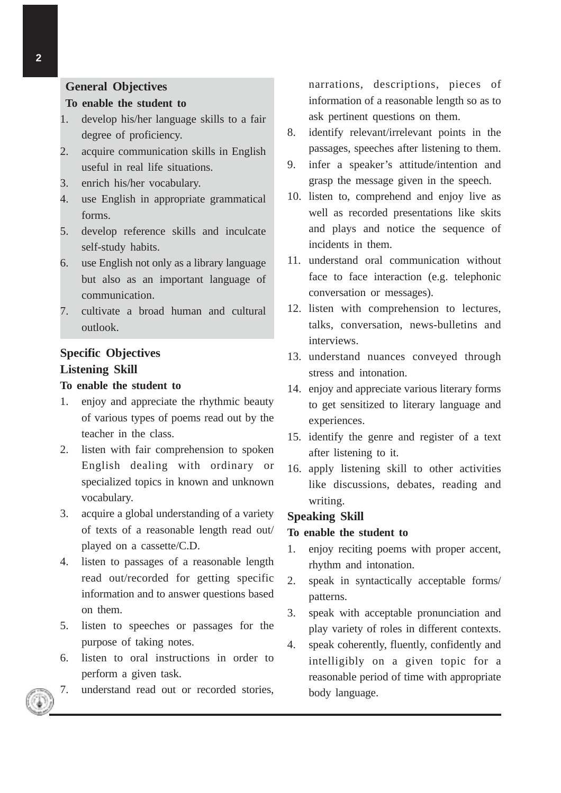# **General Objectives**

#### **To enable the student to**

- 1. develop his/her language skills to a fair degree of proficiency.
- 2. acquire communication skills in English useful in real life situations.
- 3. enrich his/her vocabulary.
- 4. use English in appropriate grammatical forms.
- 5. develop reference skills and inculcate self-study habits.
- 6. use English not only as a library language but also as an important language of communication.
- 7. cultivate a broad human and cultural outlook.

# **Specific Objectives Listening Skill**

## **To enable the student to**

- 1. enjoy and appreciate the rhythmic beauty of various types of poems read out by the teacher in the class.
- 2. listen with fair comprehension to spoken English dealing with ordinary or specialized topics in known and unknown vocabulary.
- 3. acquire a global understanding of a variety of texts of a reasonable length read out/ played on a cassette/C.D.
- 4. listen to passages of a reasonable length read out/recorded for getting specific information and to answer questions based on them.
- 5. listen to speeches or passages for the purpose of taking notes.
- 6. listen to oral instructions in order to perform a given task.
- 7. understand read out or recorded stories,

narrations, descriptions, pieces of information of a reasonable length so as to ask pertinent questions on them.

- 8. identify relevant/irrelevant points in the passages, speeches after listening to them.
- 9. infer a speaker's attitude/intention and grasp the message given in the speech.
- 10. listen to, comprehend and enjoy live as well as recorded presentations like skits and plays and notice the sequence of incidents in them.
- 11. understand oral communication without face to face interaction (e.g. telephonic conversation or messages).
- 12. listen with comprehension to lectures, talks, conversation, news-bulletins and interviews.
- 13. understand nuances conveyed through stress and intonation.
- 14. enjoy and appreciate various literary forms to get sensitized to literary language and experiences.
- 15. identify the genre and register of a text after listening to it.
- 16. apply listening skill to other activities like discussions, debates, reading and writing.

## **Speaking Skill**

### **To enable the student to**

- 1. enjoy reciting poems with proper accent, rhythm and intonation.
- 2. speak in syntactically acceptable forms/ patterns.
- 3. speak with acceptable pronunciation and play variety of roles in different contexts.
- 4. speak coherently, fluently, confidently and intelligibly on a given topic for a reasonable period of time with appropriate body language.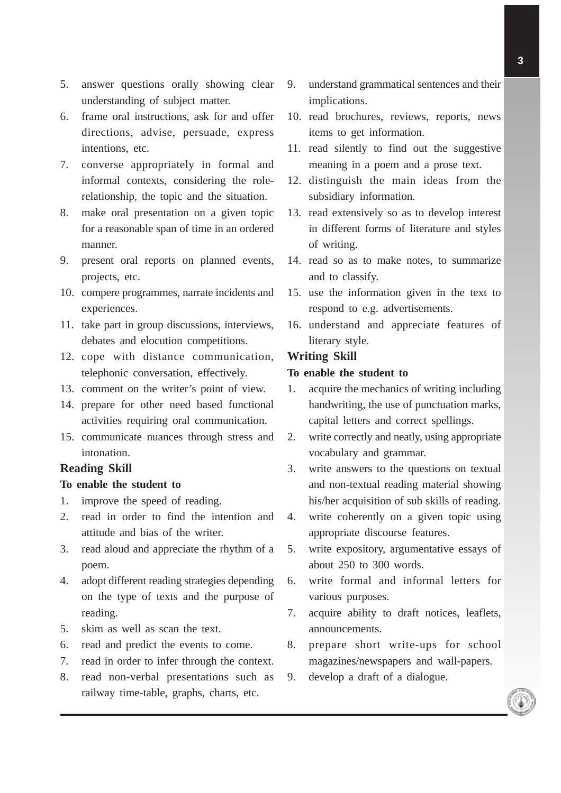- 5. answer questions orally showing clear understanding of subject matter.
- 6. frame oral instructions, ask for and offer directions, advise, persuade, express intentions, etc.
- 7. converse appropriately in formal and informal contexts, considering the rolerelationship, the topic and the situation.
- 8. make oral presentation on a given topic for a reasonable span of time in an ordered manner.
- 9. present oral reports on planned events, projects, etc.
- 10. compere programmes, narrate incidents and experiences.
- 11. take part in group discussions, interviews, debates and elocution competitions.
- 12. cope with distance communication, telephonic conversation, effectively.
- 13. comment on the writer's point of view.
- 14. prepare for other need based functional activities requiring oral communication.
- 15. communicate nuances through stress and intonation.

#### **Reading Skill**

#### **To enable the student to**

- 1. improve the speed of reading.
- 2. read in order to find the intention and attitude and bias of the writer.
- 3. read aloud and appreciate the rhythm of a poem.
- 4. adopt different reading strategies depending on the type of texts and the purpose of reading.
- 5. skim as well as scan the text.
- 6. read and predict the events to come.
- 7. read in order to infer through the context.
- 8. read non-verbal presentations such as railway time-table, graphs, charts, etc.
- 9. understand grammatical sentences and their implications.
- 10. read brochures, reviews, reports, news items to get information.
- 11. read silently to find out the suggestive meaning in a poem and a prose text.
- 12. distinguish the main ideas from the subsidiary information.
- 13. read extensively so as to develop interest in different forms of literature and styles of writing.
- 14. read so as to make notes, to summarize and to classify.
- 15. use the information given in the text to respond to e.g. advertisements.
- 16. understand and appreciate features of literary style.

#### **Writing Skill**

#### **To enable the student to**

- 1. acquire the mechanics of writing including handwriting, the use of punctuation marks, capital letters and correct spellings.
- 2. write correctly and neatly, using appropriate vocabulary and grammar.
- 3. write answers to the questions on textual and non-textual reading material showing his/her acquisition of sub skills of reading.
- 4. write coherently on a given topic using appropriate discourse features.
- 5. write expository, argumentative essays of about 250 to 300 words.
- 6. write formal and informal letters for various purposes.
- 7. acquire ability to draft notices, leaflets, announcements.
- 8. prepare short write-ups for school magazines/newspapers and wall-papers.
- 9. develop a draft of a dialogue.

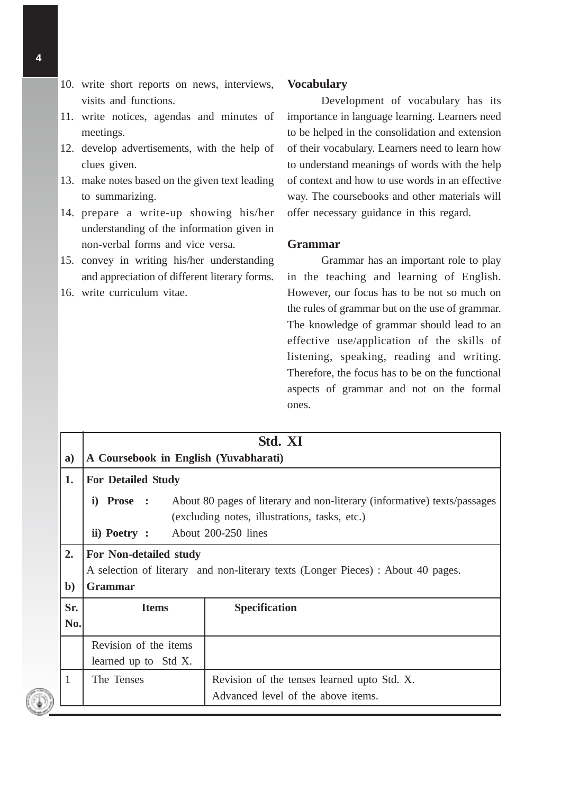- 10. write short reports on news, interviews, visits and functions.
- 11. write notices, agendas and minutes of meetings.
- 12. develop advertisements, with the help of clues given.
- 13. make notes based on the given text leading to summarizing.
- 14. prepare a write-up showing his/her understanding of the information given in non-verbal forms and vice versa.
- 15. convey in writing his/her understanding and appreciation of different literary forms.
- 16. write curriculum vitae.

#### **Vocabulary**

Development of vocabulary has its importance in language learning. Learners need to be helped in the consolidation and extension of their vocabulary. Learners need to learn how to understand meanings of words with the help of context and how to use words in an effective way. The coursebooks and other materials will offer necessary guidance in this regard.

#### **Grammar**

Grammar has an important role to play in the teaching and learning of English. However, our focus has to be not so much on the rules of grammar but on the use of grammar. The knowledge of grammar should lead to an effective use/application of the skills of listening, speaking, reading and writing. Therefore, the focus has to be on the functional aspects of grammar and not on the formal ones.

| <b>For Detailed Study</b>                                                        |  |  |  |  |
|----------------------------------------------------------------------------------|--|--|--|--|
| About 80 pages of literary and non-literary (informative) texts/passages         |  |  |  |  |
| (excluding notes, illustrations, tasks, etc.)                                    |  |  |  |  |
| ii) Poetry :<br>About 200-250 lines                                              |  |  |  |  |
| For Non-detailed study                                                           |  |  |  |  |
| A selection of literary and non-literary texts (Longer Pieces) : About 40 pages. |  |  |  |  |
| <b>Grammar</b>                                                                   |  |  |  |  |
|                                                                                  |  |  |  |  |
|                                                                                  |  |  |  |  |
|                                                                                  |  |  |  |  |
|                                                                                  |  |  |  |  |
| Revision of the tenses learned upto Std. X.                                      |  |  |  |  |
| Advanced level of the above items.                                               |  |  |  |  |
|                                                                                  |  |  |  |  |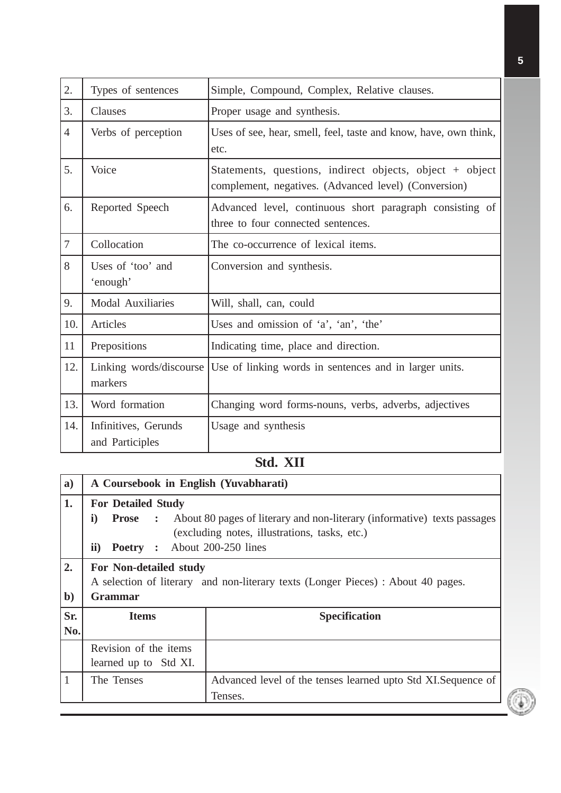| 2.             | Types of sentences                      | Simple, Compound, Complex, Relative clauses.                                                                     |  |
|----------------|-----------------------------------------|------------------------------------------------------------------------------------------------------------------|--|
| 3.             | Clauses                                 | Proper usage and synthesis.                                                                                      |  |
| $\overline{4}$ | Verbs of perception                     | Uses of see, hear, smell, feel, taste and know, have, own think,<br>etc.                                         |  |
| 5.             | Voice                                   | Statements, questions, indirect objects, object + object<br>complement, negatives. (Advanced level) (Conversion) |  |
| 6.             | Reported Speech                         | Advanced level, continuous short paragraph consisting of<br>three to four connected sentences.                   |  |
| $\overline{7}$ | Collocation                             | The co-occurrence of lexical items.                                                                              |  |
| 8              | Uses of 'too' and<br>'enough'           | Conversion and synthesis.                                                                                        |  |
| 9.             | <b>Modal Auxiliaries</b>                | Will, shall, can, could                                                                                          |  |
| 10.            | Articles                                | Uses and omission of 'a', 'an', 'the'                                                                            |  |
| 11             | Prepositions                            | Indicating time, place and direction.                                                                            |  |
| 12.            | Linking words/discourse<br>markers      | Use of linking words in sentences and in larger units.                                                           |  |
| 13.            | Word formation                          | Changing word forms-nouns, verbs, adverbs, adjectives                                                            |  |
| 14.            | Infinitives, Gerunds<br>and Participles | Usage and synthesis                                                                                              |  |

**Std. XII**

| a)           | A Coursebook in English (Yuvabharati)                                            |                                                                          |  |  |  |  |
|--------------|----------------------------------------------------------------------------------|--------------------------------------------------------------------------|--|--|--|--|
| 1.           | <b>For Detailed Study</b>                                                        |                                                                          |  |  |  |  |
|              | $\mathbf{i}$<br><b>Prose</b> :                                                   | About 80 pages of literary and non-literary (informative) texts passages |  |  |  |  |
|              | (excluding notes, illustrations, tasks, etc.)                                    |                                                                          |  |  |  |  |
|              | $\mathbf{ii}$<br><b>Poetry</b> : About 200-250 lines                             |                                                                          |  |  |  |  |
| 2.           | <b>For Non-detailed study</b>                                                    |                                                                          |  |  |  |  |
|              | A selection of literary and non-literary texts (Longer Pieces) : About 40 pages. |                                                                          |  |  |  |  |
| $\mathbf{b}$ | <b>Grammar</b>                                                                   |                                                                          |  |  |  |  |
| Sr.          | <b>Items</b>                                                                     | <b>Specification</b>                                                     |  |  |  |  |
| No.          |                                                                                  |                                                                          |  |  |  |  |
|              | Revision of the items                                                            |                                                                          |  |  |  |  |
|              | learned up to Std XI.                                                            |                                                                          |  |  |  |  |
|              | The Tenses                                                                       | Advanced level of the tenses learned upto Std XI. Sequence of            |  |  |  |  |
|              |                                                                                  | Tenses.                                                                  |  |  |  |  |

G